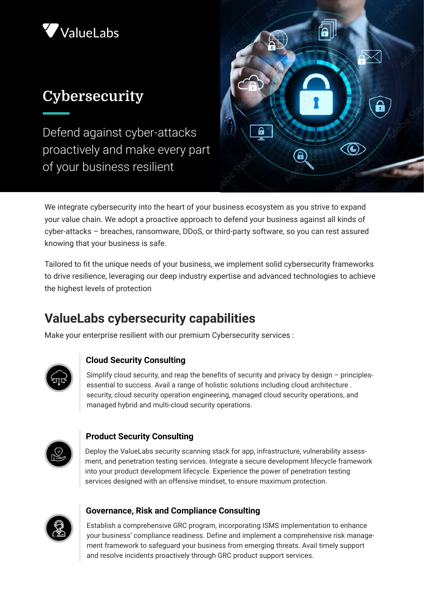

# **Cybersecurity**

Defend against cyber-attacks proactively and make every part of your business resilient



We integrate cybersecurity into the heart of your business ecosystem as you strive to expand your value chain. We adopt a proactive approach to defend your business against all kinds of cyber-attacks – breaches, ransomware, DDoS, or third-party software, so you can rest assured knowing that your business is safe.

Tailored to fit the unique needs of your business, we implement solid cybersecurity frameworks to drive resilience, leveraging our deep industry expertise and advanced technologies to achieve the highest levels of protection

## **ValueLabs cybersecurity capabilities**

Make your enterprise resilient with our premium Cybersecurity services :



#### **Cloud Security Consulting**

Simplify cloud security, and reap the benefits of security and privacy by design – principlesessential to success. Avail a range of holistic solutions including cloud architecture . security, cloud security operation engineering, managed cloud security operations, and managed hybrid and multi-cloud security operations.



#### **Product Security Consulting**

Deploy the ValueLabs security scanning stack for app, infrastructure, vulnerability assessment, and penetration testing services. Integrate a secure development lifecycle framework into your product development lifecycle. Experience the power of penetration testing services designed with an offensive mindset, to ensure maximum protection.



#### **Governance, Risk and Compliance Consulting**

Establish a comprehensive GRC program, incorporating ISMS implementation to enhance your business' compliance readiness. Define and implement a comprehensive risk management framework to safeguard your business from emerging threats. Avail timely support and resolve incidents proactively through GRC product support services.